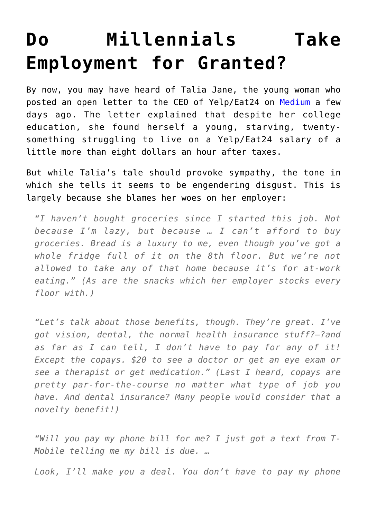## **[Do Millennials Take](https://intellectualtakeout.org/2016/02/do-millennials-take-employment-for-granted/) [Employment for Granted?](https://intellectualtakeout.org/2016/02/do-millennials-take-employment-for-granted/)**

By now, you may have heard of Talia Jane, the young woman who posted an open letter to the CEO of Yelp/Eat24 on [Medium](https://medium.com/@taliajane/an-open-letter-to-my-ceo-fb73df021e7a#.w79ad7rn5) a few days ago. The letter explained that despite her college education, she found herself a young, starving, twentysomething struggling to live on a Yelp/Eat24 salary of a little more than eight dollars an hour after taxes.

But while Talia's tale should provoke sympathy, the tone in which she tells it seems to be engendering disgust. This is largely because she blames her woes on her employer:

*"I haven't bought groceries since I started this job. Not because I'm lazy, but because … I can't afford to buy groceries. Bread is a luxury to me, even though you've got a whole fridge full of it on the 8th floor. But we're not allowed to take any of that home because it's for at-work eating." (As are the snacks which her employer stocks every floor with.)*

*"Let's talk about those benefits, though. They're great. I've got vision, dental, the normal health insurance stuff?—?and as far as I can tell, I don't have to pay for any of it! Except the copays. \$20 to see a doctor or get an eye exam or see a therapist or get medication." (Last I heard, copays are pretty par-for-the-course no matter what type of job you have. And dental insurance? Many people would consider that a novelty benefit!)*

*"Will you pay my phone bill for me? I just got a text from T-Mobile telling me my bill is due. …*

*Look, I'll make you a deal. You don't have to pay my phone*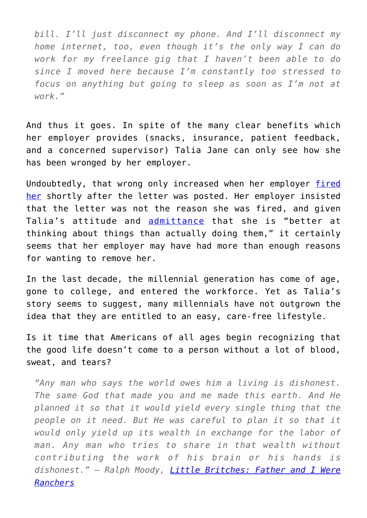*bill. I'll just disconnect my phone. And I'll disconnect my home internet, too, even though it's the only way I can do work for my freelance gig that I haven't been able to do since I moved here because I'm constantly too stressed to focus on anything but going to sleep as soon as I'm not at work."*

And thus it goes. In spite of the many clear benefits which her employer provides (snacks, insurance, patient feedback, and a concerned supervisor) Talia Jane can only see how she has been wronged by her employer.

Undoubtedly, that wrong only increased when her employer [fired](http://www.theblaze.com/stories/2016/02/22/millennial-complains-to-yelp-ceo-about-her-salary-in-online-post-heres-what-happens-just-hours-later/) [her](http://www.theblaze.com/stories/2016/02/22/millennial-complains-to-yelp-ceo-about-her-salary-in-online-post-heres-what-happens-just-hours-later/) shortly after the letter was posted. Her employer insisted that the letter was not the reason she was fired, and given Talia's attitude and [admittance](https://medium.com/@taliajane) that she is "better at thinking about things than actually doing them," it certainly seems that her employer may have had more than enough reasons for wanting to remove her.

In the last decade, the millennial generation has come of age, gone to college, and entered the workforce. Yet as Talia's story seems to suggest, many millennials have not outgrown the idea that they are entitled to an easy, care-free lifestyle.

Is it time that Americans of all ages begin recognizing that the good life doesn't come to a person without a lot of blood, sweat, and tears?

*"Any man who says the world owes him a living is dishonest. The same God that made you and me made this earth. And He planned it so that it would yield every single thing that the people on it need. But He was careful to plan it so that it would only yield up its wealth in exchange for the labor of man. Any man who tries to share in that wealth without contributing the work of his brain or his hands is dishonest." – Ralph Moody, [Little Britches: Father and I Were](http://www.amazon.com/gp/product/0803281781/ref=as_li_qf_sp_asin_il_tl?ie=UTF8&camp=1789&creative=9325&creativeASIN=0803281781&linkCode=as2&tag=intelltakeo0d-20&linkId=FCWOBQFUZT2PRV7H) [Ranchers](http://www.amazon.com/gp/product/0803281781/ref=as_li_qf_sp_asin_il_tl?ie=UTF8&camp=1789&creative=9325&creativeASIN=0803281781&linkCode=as2&tag=intelltakeo0d-20&linkId=FCWOBQFUZT2PRV7H)*